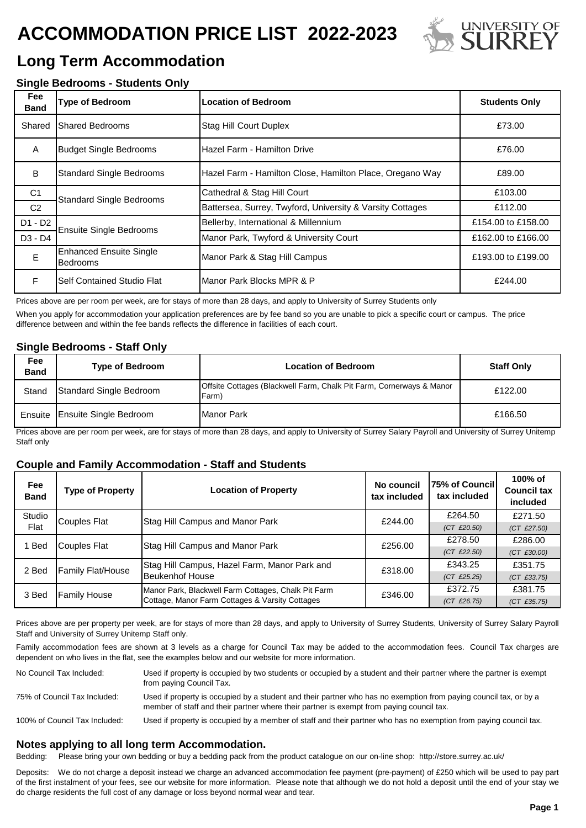# **ACCOMMODATION PRICE LIST 2022-2023**



# **Long Term Accommodation**

## **Single Bedrooms - Students Only**

| Fee<br><b>Band</b> | <b>Type of Bedroom</b>                                                                      | Location of Bedroom                                       | <b>Students Only</b> |
|--------------------|---------------------------------------------------------------------------------------------|-----------------------------------------------------------|----------------------|
| Shared             | <b>Shared Bedrooms</b>                                                                      | <b>Stag Hill Court Duplex</b>                             | £73.00               |
| A                  | <b>Budget Single Bedrooms</b><br>Hazel Farm - Hamilton Drive                                |                                                           | £76.00               |
| B                  | <b>Standard Single Bedrooms</b><br>Hazel Farm - Hamilton Close, Hamilton Place, Oregano Way |                                                           | £89.00               |
| C <sub>1</sub>     | <b>Standard Single Bedrooms</b>                                                             | Cathedral & Stag Hill Court                               | £103.00              |
| C <sub>2</sub>     |                                                                                             | Battersea, Surrey, Twyford, University & Varsity Cottages | £112.00              |
| $D1 - D2$          | <b>Ensuite Single Bedrooms</b>                                                              | Bellerby, International & Millennium                      | £154.00 to £158.00   |
| $D3 - D4$          |                                                                                             | Manor Park, Twyford & University Court                    | £162.00 to £166.00   |
| E                  | <b>Enhanced Ensuite Single</b><br><b>Bedrooms</b>                                           | Manor Park & Stag Hill Campus                             | £193.00 to £199.00   |
| F                  | Self Contained Studio Flat                                                                  | Manor Park Blocks MPR & P                                 | £244.00              |

Prices above are per room per week, are for stays of more than 28 days, and apply to University of Surrey Students only

When you apply for accommodation your application preferences are by fee band so you are unable to pick a specific court or campus. The price difference between and within the fee bands reflects the difference in facilities of each court.

### **Single Bedrooms - Staff Only**

| Fee<br><b>Band</b> | <b>Type of Bedroom</b>         | <b>Location of Bedroom</b>                                                    | <b>Staff Only</b> |
|--------------------|--------------------------------|-------------------------------------------------------------------------------|-------------------|
| Stand              | Standard Single Bedroom        | Offsite Cottages (Blackwell Farm, Chalk Pit Farm, Cornerways & Manor<br>Farm) | £122.00           |
|                    | Ensuite Ensuite Single Bedroom | IManor Park                                                                   | £166.50           |

Prices above are per room per week, are for stays of more than 28 days, and apply to University of Surrey Salary Payroll and University of Surrey Unitemp Staff only

### **Couple and Family Accommodation - Staff and Students**

| Fee<br><b>Band</b> | <b>Type of Property</b>  | <b>Location of Property</b>                                                                            | No council<br>tax included | 75% of Council<br>tax included | 100% of<br><b>Council tax</b><br>included |
|--------------------|--------------------------|--------------------------------------------------------------------------------------------------------|----------------------------|--------------------------------|-------------------------------------------|
| Studio             | <b>Couples Flat</b>      | Stag Hill Campus and Manor Park                                                                        | £244.00                    | £264.50                        | £271.50                                   |
| Flat               |                          |                                                                                                        |                            | $(CT \tE20.50)$                | $(CT$ £27.50)                             |
| Bed                | Couples Flat             | Stag Hill Campus and Manor Park                                                                        | £256.00                    | £278.50                        | £286.00                                   |
|                    |                          |                                                                                                        |                            | $(CT$ £22.50)                  | $(CT \t£30.00)$                           |
| 2 Bed              | <b>Family Flat/House</b> | Stag Hill Campus, Hazel Farm, Manor Park and<br><b>Beukenhof House</b>                                 | £318.00                    | £343.25                        | £351.75                                   |
|                    |                          |                                                                                                        |                            | $(CT \tE25.25)$                | $(CT$ £33.75)                             |
| 3 Bed              | <b>Family House</b>      | Manor Park, Blackwell Farm Cottages, Chalk Pit Farm<br>Cottage, Manor Farm Cottages & Varsity Cottages | £346.00                    | £372.75                        | £381.75                                   |
|                    |                          |                                                                                                        |                            | (CT E26.75)                    | $(CT \t535.75)$                           |

Prices above are per property per week, are for stays of more than 28 days, and apply to University of Surrey Students, University of Surrey Salary Payroll Staff and University of Surrey Unitemp Staff only.

Family accommodation fees are shown at 3 levels as a charge for Council Tax may be added to the accommodation fees. Council Tax charges are dependent on who lives in the flat, see the examples below and our website for more information.

Used if property is occupied by a member of staff and their partner who has no exemption from paying council tax. No Council Tax Included: Used if property is occupied by two students or occupied by a student and their partner where the partner is exempt from paying Council Tax. 75% of Council Tax Included: Used if property is occupied by a student and their partner who has no exemption from paying council tax, or by a member of staff and their partner where their partner is exempt from paying council tax. 100% of Council Tax Included:

### **Notes applying to all long term Accommodation.**

Bedding: Please bring your own bedding or buy a bedding pack from the product catalogue on our on-line shop: http://store.surrey.ac.uk/

Deposits: We do not charge a deposit instead we charge an advanced accommodation fee payment (pre-payment) of £250 which will be used to pay part of the first instalment of your fees, see our website for more information. Please note that although we do not hold a deposit until the end of your stay we do charge residents the full cost of any damage or loss beyond normal wear and tear.